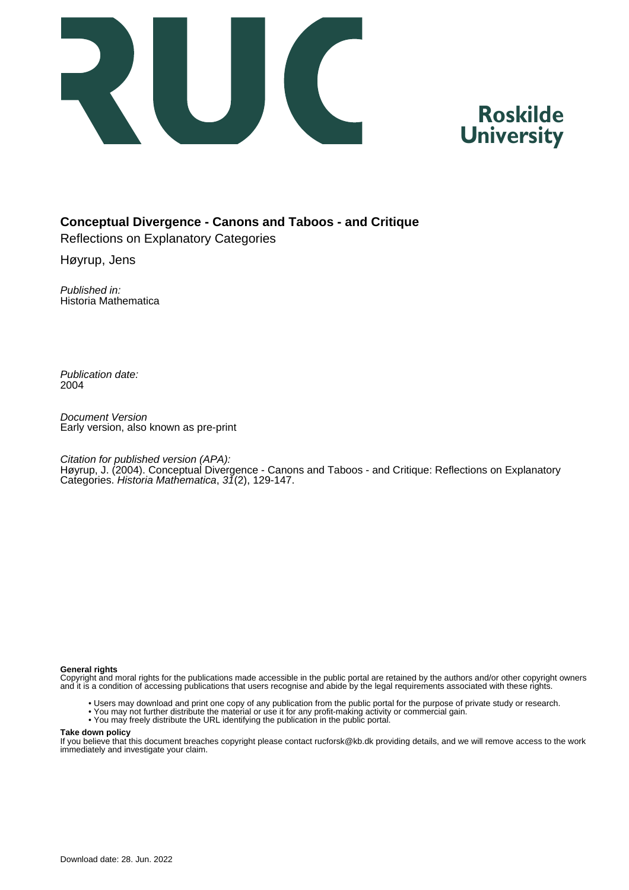

# **Roskilde University**

### **Conceptual Divergence - Canons and Taboos - and Critique**

Reflections on Explanatory Categories

Høyrup, Jens

Published in: Historia Mathematica

Publication date: 2004

Document Version Early version, also known as pre-print

Citation for published version (APA):

Høyrup, J. (2004). Conceptual Divergence - Canons and Taboos - and Critique: Reflections on Explanatory Categories. Historia Mathematica, 31(2), 129-147.

#### **General rights**

Copyright and moral rights for the publications made accessible in the public portal are retained by the authors and/or other copyright owners and it is a condition of accessing publications that users recognise and abide by the legal requirements associated with these rights.

- Users may download and print one copy of any publication from the public portal for the purpose of private study or research.
- You may not further distribute the material or use it for any profit-making activity or commercial gain.
- You may freely distribute the URL identifying the publication in the public portal.

#### **Take down policy**

If you believe that this document breaches copyright please contact rucforsk@kb.dk providing details, and we will remove access to the work immediately and investigate your claim.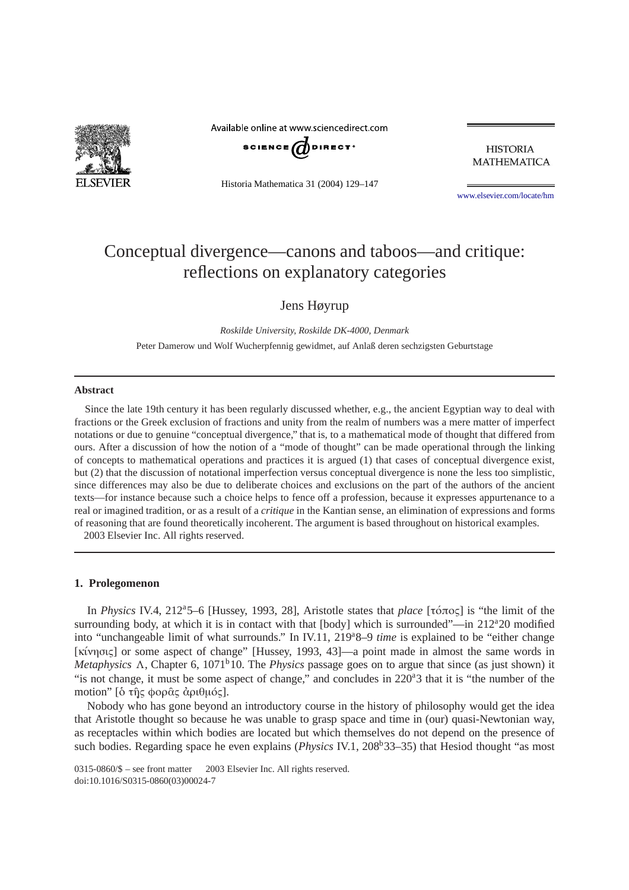

Available online at www.sciencedirect.com



**HISTORIA MATHEMATICA** 

Historia Mathematica 31 (2004) 129–147

[www.elsevier.com/locate/hm](http://www.elsevier.com/locate/hm)

## Conceptual divergence—canons and taboos—and critique: reflections on explanatory categories

Jens Høyrup

*Roskilde University, Roskilde DK-4000, Denmark* Peter Damerow und Wolf Wucherpfennig gewidmet, auf Anlaß deren sechzigsten Geburtstage

#### **Abstract**

Since the late 19th century it has been regularly discussed whether, e.g., the ancient Egyptian way to deal with fractions or the Greek exclusion of fractions and unity from the realm of numbers was a mere matter of imperfect notations or due to genuine "conceptual divergence," that is, to a mathematical mode of thought that differed from ours. After a discussion of how the notion of a "mode of thought" can be made operational through the linking of concepts to mathematical operations and practices it is argued (1) that cases of conceptual divergence exist, but (2) that the discussion of notational imperfection versus conceptual divergence is none the less too simplistic, since differences may also be due to deliberate choices and exclusions on the part of the authors of the ancient texts—for instance because such a choice helps to fence off a profession, because it expresses appurtenance to a real or imagined tradition, or as a result of a *critique* in the Kantian sense, an elimination of expressions and forms of reasoning that are found theoretically incoherent. The argument is based throughout on historical examples. 2003 Elsevier Inc. All rights reserved.

#### **1. Prolegomenon**

In *Physics* IV.4, 212<sup>a</sup>5–6 [Hussey, 1993, 28], Aristotle states that *place* [τόπος] is "the limit of the surrounding body, at which it is in contact with that [body] which is surrounded"—in 212<sup>a</sup>20 modified into "unchangeable limit of what surrounds." In IV.11, 219<sup>a</sup>8-9 *time* is explained to be "either change [κ´ινησις] or some aspect of change" [Hussey, 1993, 43]—a point made in almost the same words in *Metaphysics*  $\Lambda$ , Chapter 6, 1071<sup>b</sup>10. The *Physics* passage goes on to argue that since (as just shown) it "is not change, it must be some aspect of change," and concludes in 220<sup>a</sup>3 that it is "the number of the motion" [ὁ τῆς φορᾶς ἀριθμός].

Nobody who has gone beyond an introductory course in the history of philosophy would get the idea that Aristotle thought so because he was unable to grasp space and time in (our) quasi-Newtonian way, as receptacles within which bodies are located but which themselves do not depend on the presence of such bodies. Regarding space he even explains (*Physics* IV.1, 208<sup>b</sup>33–35) that Hesiod thought "as most

0315-0860/\$ – see front matter  $\circ$  2003 Elsevier Inc. All rights reserved. doi:10.1016/S0315-0860(03)00024-7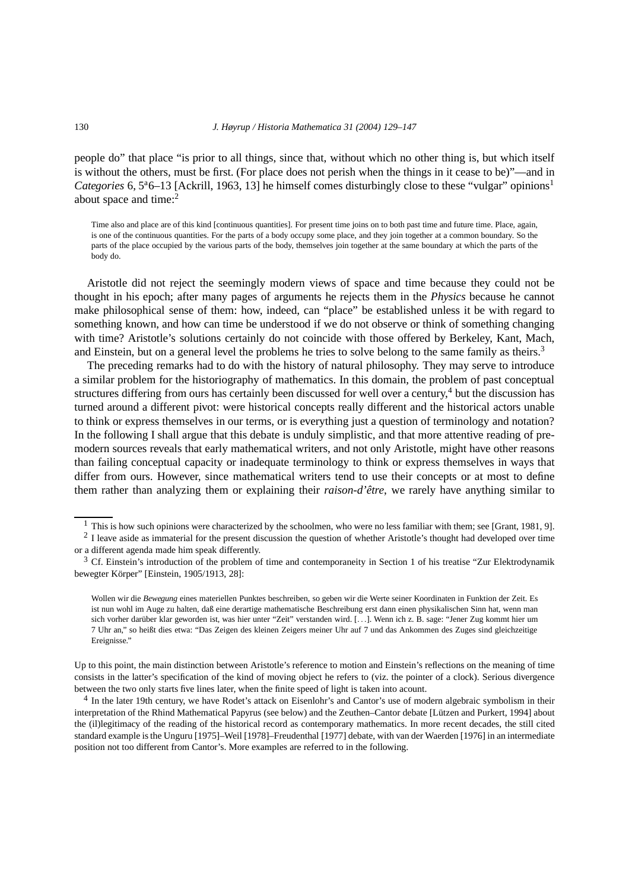#### 130 *J. Høyrup / Historia Mathematica 31 (2004) 129–147*

people do" that place "is prior to all things, since that, without which no other thing is, but which itself is without the others, must be first. (For place does not perish when the things in it cease to be)"—and in Categories 6, 5<sup>ª</sup>6–13 [Ackrill, 1963, 13] he himself comes disturbingly close to these "vulgar" opinions<sup>1</sup> about space and time:<sup>2</sup>

Time also and place are of this kind [continuous quantities]. For present time joins on to both past time and future time. Place, again, is one of the continuous quantities. For the parts of a body occupy some place, and they join together at a common boundary. So the parts of the place occupied by the various parts of the body, themselves join together at the same boundary at which the parts of the body do.

Aristotle did not reject the seemingly modern views of space and time because they could not be thought in his epoch; after many pages of arguments he rejects them in the *Physics* because he cannot make philosophical sense of them: how, indeed, can "place" be established unless it be with regard to something known, and how can time be understood if we do not observe or think of something changing with time? Aristotle's solutions certainly do not coincide with those offered by Berkeley, Kant, Mach, and Einstein, but on a general level the problems he tries to solve belong to the same family as theirs.<sup>3</sup>

The preceding remarks had to do with the history of natural philosophy. They may serve to introduce a similar problem for the historiography of mathematics. In this domain, the problem of past conceptual structures differing from ours has certainly been discussed for well over a century,<sup>4</sup> but the discussion has turned around a different pivot: were historical concepts really different and the historical actors unable to think or express themselves in our terms, or is everything just a question of terminology and notation? In the following I shall argue that this debate is unduly simplistic, and that more attentive reading of premodern sources reveals that early mathematical writers, and not only Aristotle, might have other reasons than failing conceptual capacity or inadequate terminology to think or express themselves in ways that differ from ours. However, since mathematical writers tend to use their concepts or at most to define them rather than analyzing them or explaining their *raison-d'être*, we rarely have anything similar to

 $1$  This is how such opinions were characterized by the schoolmen, who were no less familiar with them; see [Grant, 1981, 9].

<sup>&</sup>lt;sup>2</sup> I leave aside as immaterial for the present discussion the question of whether Aristotle's thought had developed over time or a different agenda made him speak differently.

 $3$  Cf. Einstein's introduction of the problem of time and contemporaneity in Section 1 of his treatise "Zur Elektrodynamik" bewegter Körper" [Einstein, 1905/1913, 28]:

Wollen wir die *Bewegung* eines materiellen Punktes beschreiben, so geben wir die Werte seiner Koordinaten in Funktion der Zeit. Es ist nun wohl im Auge zu halten, daß eine derartige mathematische Beschreibung erst dann einen physikalischen Sinn hat, wenn man sich vorher darüber klar geworden ist, was hier unter "Zeit" verstanden wird. [*...*]. Wenn ich z. B. sage: "Jener Zug kommt hier um 7 Uhr an," so heißt dies etwa: "Das Zeigen des kleinen Zeigers meiner Uhr auf 7 und das Ankommen des Zuges sind gleichzeitige Ereignisse."

Up to this point, the main distinction between Aristotle's reference to motion and Einstein's reflections on the meaning of time consists in the latter's specification of the kind of moving object he refers to (viz. the pointer of a clock). Serious divergence between the two only starts five lines later, when the finite speed of light is taken into acount.

<sup>4</sup> In the later 19th century, we have Rodet's attack on Eisenlohr's and Cantor's use of modern algebraic symbolism in their interpretation of the Rhind Mathematical Papyrus (see below) and the Zeuthen–Cantor debate [Lützen and Purkert, 1994] about the (il)legitimacy of the reading of the historical record as contemporary mathematics. In more recent decades, the still cited standard example is the Unguru [1975]–Weil [1978]–Freudenthal [1977] debate, with van der Waerden [1976] in an intermediate position not too different from Cantor's. More examples are referred to in the following.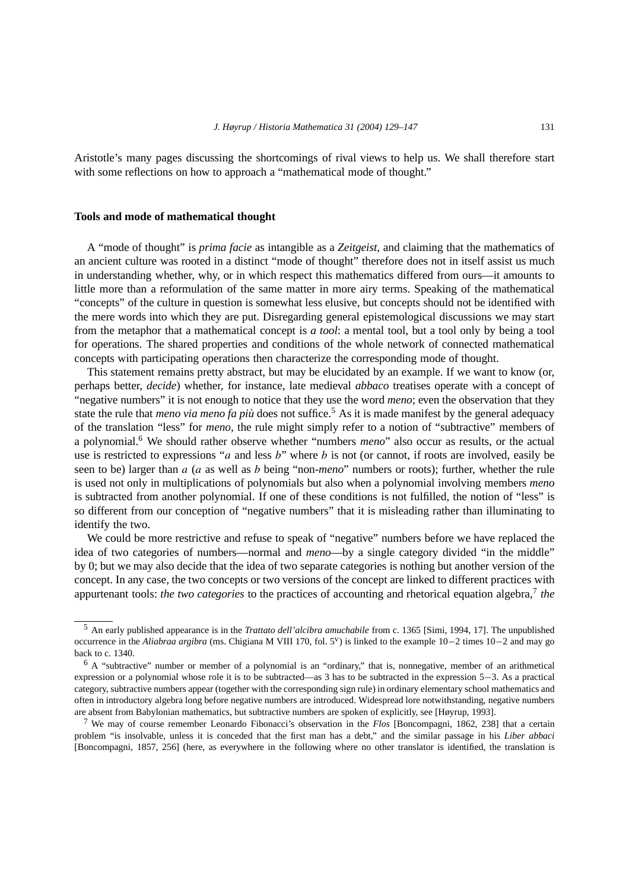Aristotle's many pages discussing the shortcomings of rival views to help us. We shall therefore start with some reflections on how to approach a "mathematical mode of thought."

#### **Tools and mode of mathematical thought**

A "mode of thought" is *prima facie* as intangible as a *Zeitgeist*, and claiming that the mathematics of an ancient culture was rooted in a distinct "mode of thought" therefore does not in itself assist us much in understanding whether, why, or in which respect this mathematics differed from ours—it amounts to little more than a reformulation of the same matter in more airy terms. Speaking of the mathematical "concepts" of the culture in question is somewhat less elusive, but concepts should not be identified with the mere words into which they are put. Disregarding general epistemological discussions we may start from the metaphor that a mathematical concept is *a tool*: a mental tool, but a tool only by being a tool for operations. The shared properties and conditions of the whole network of connected mathematical concepts with participating operations then characterize the corresponding mode of thought.

This statement remains pretty abstract, but may be elucidated by an example. If we want to know (or, perhaps better, *decide*) whether, for instance, late medieval *abbaco* treatises operate with a concept of "negative numbers" it is not enough to notice that they use the word *meno*; even the observation that they state the rule that *meno via meno fa più* does not suffice.<sup>5</sup> As it is made manifest by the general adequacy of the translation "less" for *meno*, the rule might simply refer to a notion of "subtractive" members of a polynomial.<sup>6</sup> We should rather observe whether "numbers *meno*" also occur as results, or the actual use is restricted to expressions "*a* and less *b*" where *b* is not (or cannot, if roots are involved, easily be seen to be) larger than *a* (*a* as well as *b* being "non-*meno*" numbers or roots); further, whether the rule is used not only in multiplications of polynomials but also when a polynomial involving members *meno* is subtracted from another polynomial. If one of these conditions is not fulfilled, the notion of "less" is so different from our conception of "negative numbers" that it is misleading rather than illuminating to identify the two.

We could be more restrictive and refuse to speak of "negative" numbers before we have replaced the idea of two categories of numbers—normal and *meno*—by a single category divided "in the middle" by 0; but we may also decide that the idea of two separate categories is nothing but another version of the concept. In any case, the two concepts or two versions of the concept are linked to different practices with appurtenant tools: *the two categories* to the practices of accounting and rhetorical equation algebra,<sup>7</sup> *the*

<sup>5</sup> An early published appearance is in the *Trattato dell'alcibra amuchabile* from c. 1365 [Simi, 1994, 17]. The unpublished occurrence in the *Aliabraa argibra* (ms. Chigiana M VIII 170, fol. 5v) is linked to the example 10−2 times 10−2 and may go back to c. 1340.

 $6$  A "subtractive" number or member of a polynomial is an "ordinary," that is, nonnegative, member of an arithmetical expression or a polynomial whose role it is to be subtracted—as 3 has to be subtracted in the expression 5−3. As a practical category, subtractive numbers appear (together with the corresponding sign rule) in ordinary elementary school mathematics and often in introductory algebra long before negative numbers are introduced. Widespread lore notwithstanding, negative numbers are absent from Babylonian mathematics, but subtractive numbers are spoken of explicitly, see [Høyrup, 1993].

<sup>7</sup> We may of course remember Leonardo Fibonacci's observation in the *Flos* [Boncompagni, 1862, 238] that a certain problem "is insolvable, unless it is conceded that the first man has a debt," and the similar passage in his *Liber abbaci* [Boncompagni, 1857, 256] (here, as everywhere in the following where no other translator is identified, the translation is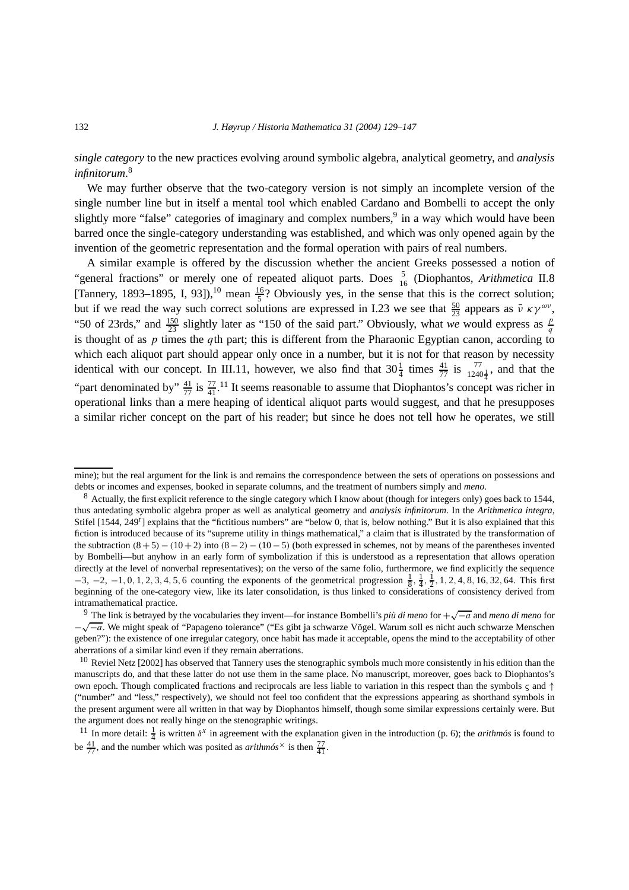*single category* to the new practices evolving around symbolic algebra, analytical geometry, and *analysis infinitorum*. 8

We may further observe that the two-category version is not simply an incomplete version of the single number line but in itself a mental tool which enabled Cardano and Bombelli to accept the only slightly more "false" categories of imaginary and complex numbers, $\frac{9}{3}$  in a way which would have been barred once the single-category understanding was established, and which was only opened again by the invention of the geometric representation and the formal operation with pairs of real numbers.

A similar example is offered by the discussion whether the ancient Greeks possessed a notion of "general fractions" or merely one of repeated aliquot parts. Does  $\frac{5}{16}$  (Diophantos, *Arithmetica* II.8 [Tannery, 1893–1895, I, 93]),<sup>10</sup> mean  $\frac{16}{5}$ ? Obviously yes, in the sense that this is the correct solution; but if we read the way such correct solutions are expressed in I.23 we see that  $\frac{50}{23}$  appears as  $\bar{v} \kappa \gamma^{\omega \nu}$ , "50 of 23rds," and  $\frac{150}{23}$  slightly later as "150 of the said part." Obviously, what *we* would express as  $\frac{p}{q}$ is thought of as *p* times the *q*th part; this is different from the Pharaonic Egyptian canon, according to which each aliquot part should appear only once in a number, but it is not for that reason by necessity identical with our concept. In III.11, however, we also find that  $30\frac{1}{4}$  times  $\frac{41}{77}$  is  $\frac{77}{1240\frac{1}{4}}$ , and that the "part denominated by"  $\frac{41}{77}$  is  $\frac{77}{41}$ .<sup>11</sup> It seems reasonable to assume that Diophantos's concept was richer in operational links than a mere heaping of identical aliquot parts would suggest, and that he presupposes a similar richer concept on the part of his reader; but since he does not tell how he operates, we still

mine); but the real argument for the link is and remains the correspondence between the sets of operations on possessions and debts or incomes and expenses, booked in separate columns, and the treatment of numbers simply and *meno*.

<sup>8</sup> Actually, the first explicit reference to the single category which I know about (though for integers only) goes back to 1544, thus antedating symbolic algebra proper as well as analytical geometry and *analysis infinitorum*. In the *Arithmetica integra*, Stifel [1544, 249<sup>r</sup>] explains that the "fictitious numbers" are "below 0, that is, below nothing." But it is also explained that this fiction is introduced because of its "supreme utility in things mathematical," a claim that is illustrated by the transformation of the subtraction  $(8+5) - (10+2)$  into  $(8-2) - (10-5)$  (both expressed in schemes, not by means of the parentheses invented by Bombelli—but anyhow in an early form of symbolization if this is understood as a representation that allows operation directly at the level of nonverbal representatives); on the verso of the same folio, furthermore, we find explicitly the sequence  $-3, -2, -1, 0, 1, 2, 3, 4, 5, 6$  counting the exponents of the geometrical progression  $\frac{1}{8}, \frac{1}{4}, \frac{1}{2}, 1, 2, 4, 8, 16, 32, 64$ . This first beginning of the one-category view, like its later consolidation, is thus linked to considerations of consistency derived from intramathematical practice.

<sup>9</sup> The link is betrayed by the vocabularies they invent—for instance Bombelli's *più di meno* for +√−*<sup>a</sup>* and *meno di meno* for −√−*a*. We might speak of "Papageno tolerance" ("Es gibt ja schwarze Vögel. Warum soll es nicht auch schwarze Menschen geben?"): the existence of one irregular category, once habit has made it acceptable, opens the mind to the acceptability of other aberrations of a similar kind even if they remain aberrations.

<sup>&</sup>lt;sup>10</sup> Reviel Netz [2002] has observed that Tannery uses the stenographic symbols much more consistently in his edition than the manuscripts do, and that these latter do not use them in the same place. No manuscript, moreover, goes back to Diophantos's own epoch. Though complicated fractions and reciprocals are less liable to variation in this respect than the symbols  $\varsigma$  and  $\uparrow$ ("number" and "less," respectively), we should not feel too confident that the expressions appearing as shorthand symbols in the present argument were all written in that way by Diophantos himself, though some similar expressions certainly were. But the argument does not really hinge on the stenographic writings.

<sup>&</sup>lt;sup>11</sup> In more detail:  $\frac{1}{4}$  is written  $\delta^x$  in agreement with the explanation given in the introduction (p. 6); the *arithmós* is found to be  $\frac{41}{77}$ , and the number which was posited as *arithmós*<sup>×</sup> is then  $\frac{77}{41}$ .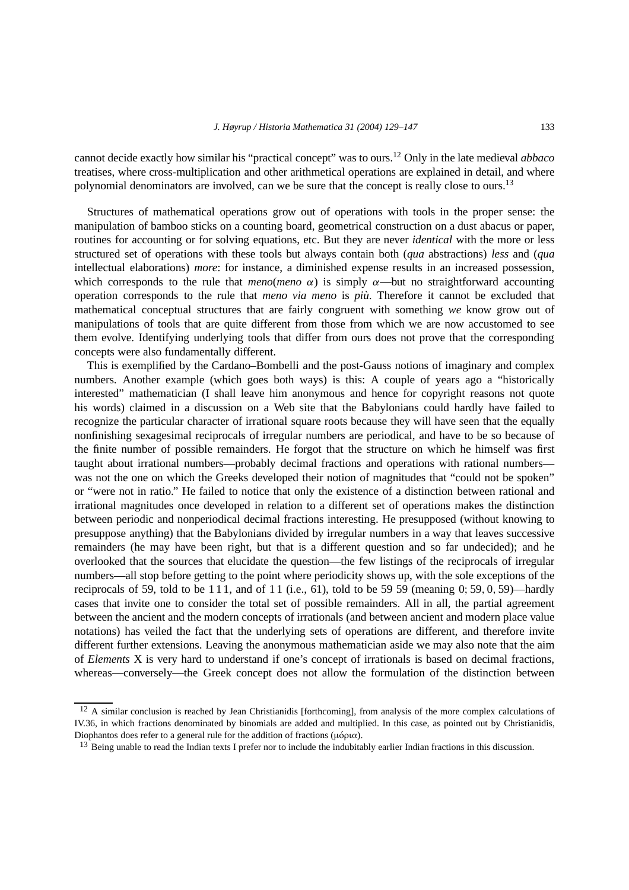cannot decide exactly how similar his "practical concept" was to ours.12 Only in the late medieval *abbaco* treatises, where cross-multiplication and other arithmetical operations are explained in detail, and where polynomial denominators are involved, can we be sure that the concept is really close to ours.<sup>13</sup>

Structures of mathematical operations grow out of operations with tools in the proper sense: the manipulation of bamboo sticks on a counting board, geometrical construction on a dust abacus or paper, routines for accounting or for solving equations, etc. But they are never *identical* with the more or less structured set of operations with these tools but always contain both (*qua* abstractions) *less* and (*qua* intellectual elaborations) *more*: for instance, a diminished expense results in an increased possession, which corresponds to the rule that *meno(meno*  $\alpha$ ) is simply  $\alpha$ —but no straightforward accounting operation corresponds to the rule that *meno via meno* is *più*. Therefore it cannot be excluded that mathematical conceptual structures that are fairly congruent with something *we* know grow out of manipulations of tools that are quite different from those from which we are now accustomed to see them evolve. Identifying underlying tools that differ from ours does not prove that the corresponding concepts were also fundamentally different.

This is exemplified by the Cardano–Bombelli and the post-Gauss notions of imaginary and complex numbers. Another example (which goes both ways) is this: A couple of years ago a "historically interested" mathematician (I shall leave him anonymous and hence for copyright reasons not quote his words) claimed in a discussion on a Web site that the Babylonians could hardly have failed to recognize the particular character of irrational square roots because they will have seen that the equally nonfinishing sexagesimal reciprocals of irregular numbers are periodical, and have to be so because of the finite number of possible remainders. He forgot that the structure on which he himself was first taught about irrational numbers—probably decimal fractions and operations with rational numbers was not the one on which the Greeks developed their notion of magnitudes that "could not be spoken" or "were not in ratio." He failed to notice that only the existence of a distinction between rational and irrational magnitudes once developed in relation to a different set of operations makes the distinction between periodic and nonperiodical decimal fractions interesting. He presupposed (without knowing to presuppose anything) that the Babylonians divided by irregular numbers in a way that leaves successive remainders (he may have been right, but that is a different question and so far undecided); and he overlooked that the sources that elucidate the question—the few listings of the reciprocals of irregular numbers—all stop before getting to the point where periodicity shows up, with the sole exceptions of the reciprocals of 59, told to be 1 1 1, and of 1 1 (i.e., 61), told to be 59 59 (meaning 0; 59*,* 0*,* 59)—hardly cases that invite one to consider the total set of possible remainders. All in all, the partial agreement between the ancient and the modern concepts of irrationals (and between ancient and modern place value notations) has veiled the fact that the underlying sets of operations are different, and therefore invite different further extensions. Leaving the anonymous mathematician aside we may also note that the aim of *Elements* X is very hard to understand if one's concept of irrationals is based on decimal fractions, whereas—conversely—the Greek concept does not allow the formulation of the distinction between

 $12$  A similar conclusion is reached by Jean Christianidis [forthcoming], from analysis of the more complex calculations of IV.36, in which fractions denominated by binomials are added and multiplied. In this case, as pointed out by Christianidis, Diophantos does refer to a general rule for the addition of fractions ( $\mu$ όρια).

<sup>&</sup>lt;sup>13</sup> Being unable to read the Indian texts I prefer nor to include the indubitably earlier Indian fractions in this discussion.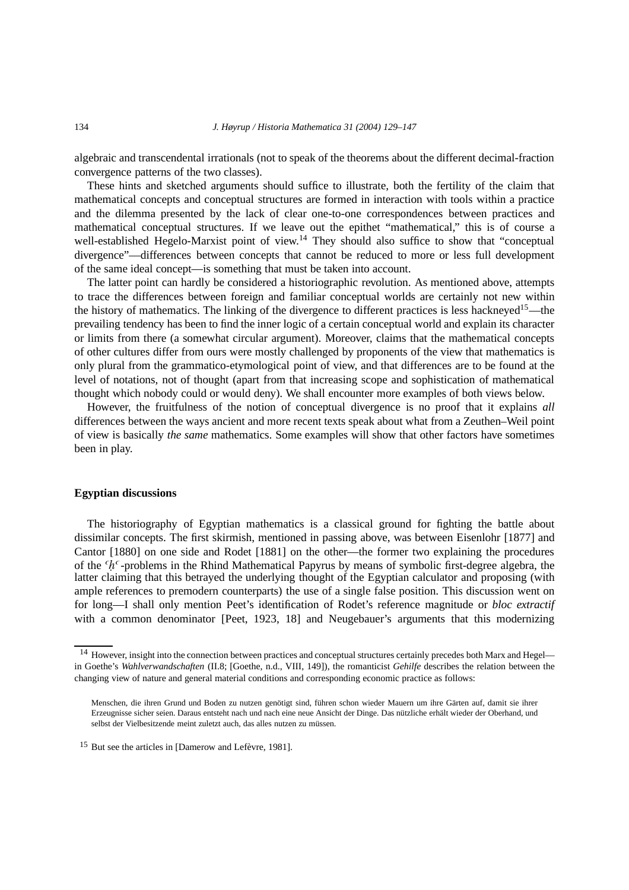algebraic and transcendental irrationals (not to speak of the theorems about the different decimal-fraction convergence patterns of the two classes).

These hints and sketched arguments should suffice to illustrate, both the fertility of the claim that mathematical concepts and conceptual structures are formed in interaction with tools within a practice and the dilemma presented by the lack of clear one-to-one correspondences between practices and mathematical conceptual structures. If we leave out the epithet "mathematical," this is of course a well-established Hegelo-Marxist point of view.<sup>14</sup> They should also suffice to show that "conceptual divergence"—differences between concepts that cannot be reduced to more or less full development of the same ideal concept—is something that must be taken into account.

The latter point can hardly be considered a historiographic revolution. As mentioned above, attempts to trace the differences between foreign and familiar conceptual worlds are certainly not new within the history of mathematics. The linking of the divergence to different practices is less hackneyed<sup>15</sup>—the prevailing tendency has been to find the inner logic of a certain conceptual world and explain its character or limits from there (a somewhat circular argument). Moreover, claims that the mathematical concepts of other cultures differ from ours were mostly challenged by proponents of the view that mathematics is only plural from the grammatico-etymological point of view, and that differences are to be found at the level of notations, not of thought (apart from that increasing scope and sophistication of mathematical thought which nobody could or would deny). We shall encounter more examples of both views below.

However, the fruitfulness of the notion of conceptual divergence is no proof that it explains *all* differences between the ways ancient and more recent texts speak about what from a Zeuthen–Weil point of view is basically *the same* mathematics. Some examples will show that other factors have sometimes been in play.

#### **Egyptian discussions**

The historiography of Egyptian mathematics is a classical ground for fighting the battle about dissimilar concepts. The first skirmish, mentioned in passing above, was between Eisenlohr [1877] and Cantor [1880] on one side and Rodet [1881] on the other—the former two explaining the procedures of the  $h^c$ -problems in the Rhind Mathematical Papyrus by means of symbolic first-degree algebra, the latter claiming that this betrayed the underlying thought of the Egyptian calculator and proposing (with ample references to premodern counterparts) the use of a single false position. This discussion went on for long—I shall only mention Peet's identification of Rodet's reference magnitude or *bloc extractif* with a common denominator [Peet, 1923, 18] and Neugebauer's arguments that this modernizing

<sup>&</sup>lt;sup>14</sup> However, insight into the connection between practices and conceptual structures certainly precedes both Marx and Hegel in Goethe's *Wahlverwandschaften* (II.8; [Goethe, n.d., VIII, 149]), the romanticist *Gehilfe* describes the relation between the changing view of nature and general material conditions and corresponding economic practice as follows:

Menschen, die ihren Grund und Boden zu nutzen genötigt sind, führen schon wieder Mauern um ihre Gärten auf, damit sie ihrer Erzeugnisse sicher seien. Daraus entsteht nach und nach eine neue Ansicht der Dinge. Das nützliche erhält wieder der Oberhand, und selbst der Vielbesitzende meint zuletzt auch, das alles nutzen zu müssen.

<sup>15</sup> But see the articles in [Damerow and Lefèvre, 1981].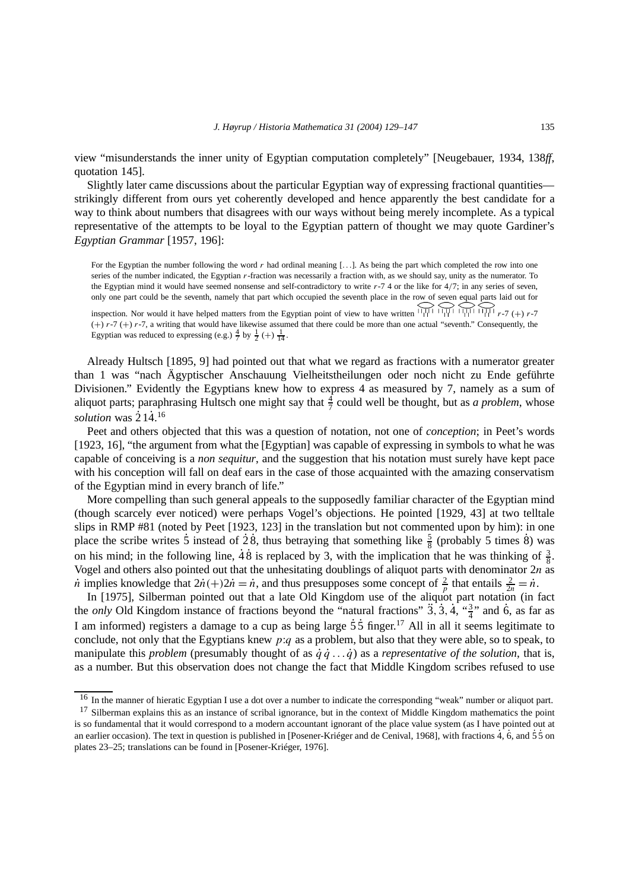view "misunderstands the inner unity of Egyptian computation completely" [Neugebauer, 1934, 138*ff*, quotation 145].

Slightly later came discussions about the particular Egyptian way of expressing fractional quantities strikingly different from ours yet coherently developed and hence apparently the best candidate for a way to think about numbers that disagrees with our ways without being merely incomplete. As a typical representative of the attempts to be loyal to the Egyptian pattern of thought we may quote Gardiner's *Egyptian Grammar* [1957, 196]:

For the Egyptian the number following the word *r* had ordinal meaning [*...*]. As being the part which completed the row into one series of the number indicated, the Egyptian *r*-fraction was necessarily a fraction with, as we should say, unity as the numerator. To the Egyptian mind it would have seemed nonsense and self-contradictory to write *r*-7 4 or the like for 4*/*7; in any series of seven, only one part could be the seventh, namely that part which occupied the seventh place in the row of seven equal parts laid out for

inspection. Nor would it have helped matters from the Egyptian point of view to have written  $\lim_{|x| \to 1} \lim_{|x| \to 1} \lim_{|x| \to 1} \lim_{|x| \to 1} r^{-2}$  (+)  $r^{-2}$  $(+)$   $r$ -7 (+)  $r$ -7, a writing that would have likewise assumed that there could be more than one actual "seventh." Consequently, the Egyptian was reduced to expressing (e.g.)  $\frac{4}{7}$  by  $\frac{1}{2}$  (+)  $\frac{1}{14}$ .

Already Hultsch [1895, 9] had pointed out that what we regard as fractions with a numerator greater than 1 was "nach Ägyptischer Anschauung Vielheitstheilungen oder noch nicht zu Ende geführte Divisionen." Evidently the Egyptians knew how to express 4 as measured by 7, namely as a sum of aliquot parts; paraphrasing Hultsch one might say that  $\frac{4}{7}$  could well be thought, but as *a problem*, whose  $solution$  was  $\dot{2}$   $1\dot{4}$ .<sup>16</sup>

Peet and others objected that this was a question of notation, not one of *conception*; in Peet's words [1923, 16], "the argument from what the [Egyptian] was capable of expressing in symbols to what he was capable of conceiving is a *non sequitur*, and the suggestion that his notation must surely have kept pace with his conception will fall on deaf ears in the case of those acquainted with the amazing conservatism of the Egyptian mind in every branch of life."

More compelling than such general appeals to the supposedly familiar character of the Egyptian mind (though scarcely ever noticed) were perhaps Vogel's objections. He pointed [1929, 43] at two telltale slips in RMP #81 (noted by Peet [1923, 123] in the translation but not commented upon by him): in one place the scribe writes 5 instead of 28, thus betraying that something like  $\frac{5}{8}$  (probably 5 times 8) was on his mind; in the following line,  $4\dot{8}$  is replaced by 3, with the implication that he was thinking of  $\frac{3}{8}$ . Vogel and others also pointed out that the unhesitating doublings of aliquot parts with denominator 2*n* as *n*<sup>i</sup> implies knowledge that  $2n + 2n = n$ , and thus presupposes some concept of  $\frac{2}{p}$  that entails  $\frac{2}{2n} = n$ .

In [1975], Silberman pointed out that a late Old Kingdom use of the aliquot part notation (in fact the *only* Old Kingdom instance of fractions beyond the "natural fractions"  $3, 3, 4,$  " $\frac{3}{4}$ " and 6, as far as I am informed) registers a damage to a cup as being large  $\dot{5}\dot{5}$  finger.<sup>17</sup> All in all it seems legitimate to conclude, not only that the Egyptians knew *p*:*q* as a problem, but also that they were able, so to speak, to manipulate this *problem* (presumably thought of as  $\dot{q}$   $\dot{q}$ ... $\dot{q}$ ) as a *representative of the solution*, that is, as a number. But this observation does not change the fact that Middle Kingdom scribes refused to use

<sup>&</sup>lt;sup>16</sup> In the manner of hieratic Egyptian I use a dot over a number to indicate the corresponding "weak" number or aliquot part. <sup>17</sup> Silberman explains this as an instance of scribal ignorance, but in the context of Middle Kingdom mathematics the point

is so fundamental that it would correspond to a modern accountant ignorant of the place value system (as I have pointed out at an earlier occasion). The text in question is published in [Posener-Kriéger and de Cenival, 1968], with fractions  $\dot{4}$ ,  $\dot{6}$ , and  $\dot{5}$   $\dot{5}$  on plates 23–25; translations can be found in [Posener-Kriéger, 1976].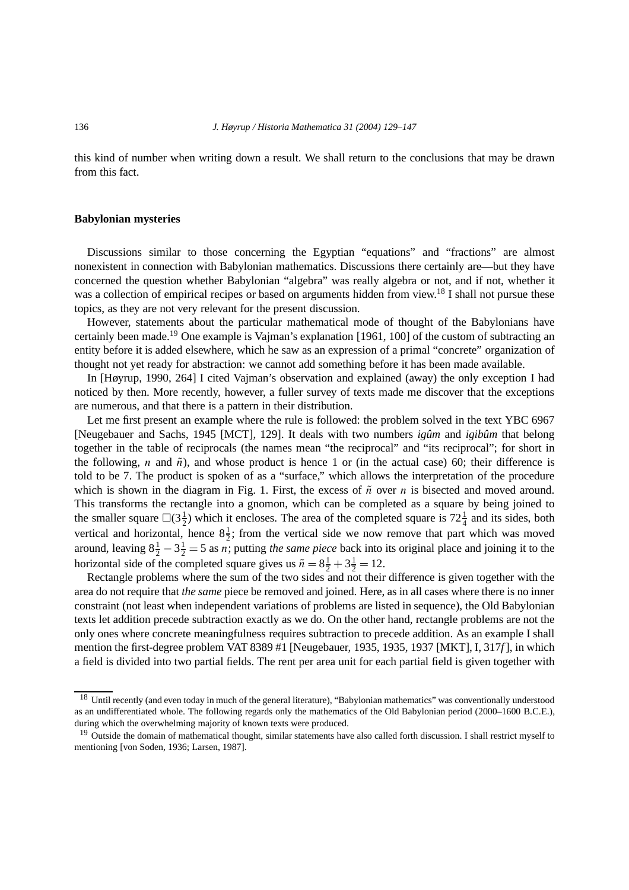this kind of number when writing down a result. We shall return to the conclusions that may be drawn from this fact.

#### **Babylonian mysteries**

Discussions similar to those concerning the Egyptian "equations" and "fractions" are almost nonexistent in connection with Babylonian mathematics. Discussions there certainly are—but they have concerned the question whether Babylonian "algebra" was really algebra or not, and if not, whether it was a collection of empirical recipes or based on arguments hidden from view.<sup>18</sup> I shall not pursue these topics, as they are not very relevant for the present discussion.

However, statements about the particular mathematical mode of thought of the Babylonians have certainly been made.<sup>19</sup> One example is Vajman's explanation [1961, 100] of the custom of subtracting an entity before it is added elsewhere, which he saw as an expression of a primal "concrete" organization of thought not yet ready for abstraction: we cannot add something before it has been made available.

In [Høyrup, 1990, 264] I cited Vajman's observation and explained (away) the only exception I had noticed by then. More recently, however, a fuller survey of texts made me discover that the exceptions are numerous, and that there is a pattern in their distribution.

Let me first present an example where the rule is followed: the problem solved in the text YBC 6967 [Neugebauer and Sachs, 1945 [MCT], 129]. It deals with two numbers *igûm* and *igibûm* that belong together in the table of reciprocals (the names mean "the reciprocal" and "its reciprocal"; for short in the following, *n* and  $\tilde{n}$ ), and whose product is hence 1 or (in the actual case) 60; their difference is told to be 7. The product is spoken of as a "surface," which allows the interpretation of the procedure which is shown in the diagram in Fig. 1. First, the excess of  $\tilde{n}$  over  $n$  is bisected and moved around. This transforms the rectangle into a gnomon, which can be completed as a square by being joined to the smaller square  $\Box(3\frac{1}{2})$  which it encloses. The area of the completed square is  $72\frac{1}{4}$  and its sides, both vertical and horizontal, hence  $8\frac{1}{2}$ ; from the vertical side we now remove that part which was moved around, leaving  $8\frac{1}{2} - 3\frac{1}{2} = 5$  as *n*; putting *the same piece* back into its original place and joining it to the horizontal side of the completed square gives us  $\tilde{n} = 8\frac{1}{2} + 3\frac{1}{2} = 12$ .

Rectangle problems where the sum of the two sides and not their difference is given together with the area do not require that *the same* piece be removed and joined. Here, as in all cases where there is no inner constraint (not least when independent variations of problems are listed in sequence), the Old Babylonian texts let addition precede subtraction exactly as we do. On the other hand, rectangle problems are not the only ones where concrete meaningfulness requires subtraction to precede addition. As an example I shall mention the first-degree problem VAT 8389 #1 [Neugebauer, 1935, 1935, 1937 [MKT], I, 317*f*], in which a field is divided into two partial fields. The rent per area unit for each partial field is given together with

<sup>&</sup>lt;sup>18</sup> Until recently (and even today in much of the general literature), "Babylonian mathematics" was conventionally understood as an undifferentiated whole. The following regards only the mathematics of the Old Babylonian period (2000–1600 B.C.E.), during which the overwhelming majority of known texts were produced.

<sup>&</sup>lt;sup>19</sup> Outside the domain of mathematical thought, similar statements have also called forth discussion. I shall restrict myself to mentioning [von Soden, 1936; Larsen, 1987].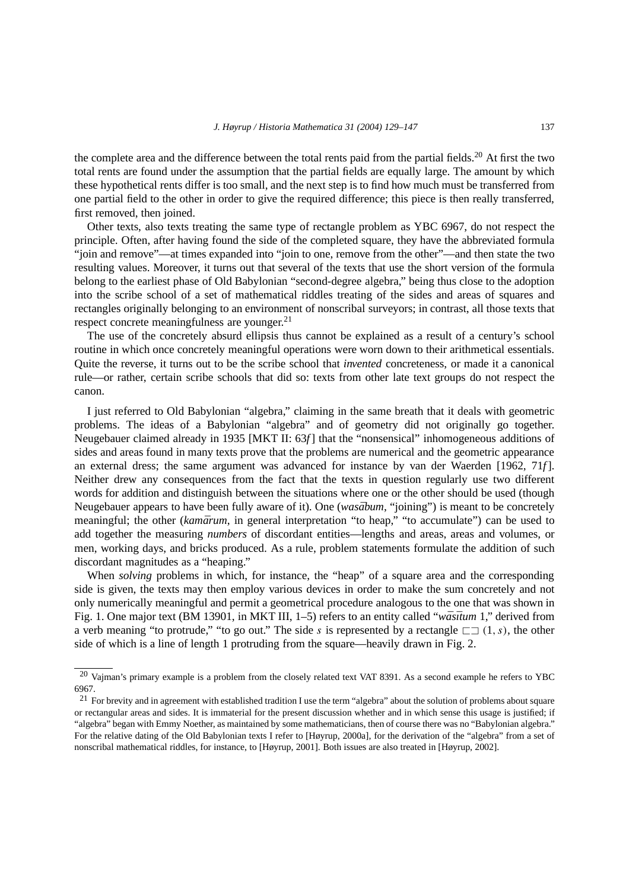the complete area and the difference between the total rents paid from the partial fields.<sup>20</sup> At first the two total rents are found under the assumption that the partial fields are equally large. The amount by which these hypothetical rents differ is too small, and the next step is to find how much must be transferred from one partial field to the other in order to give the required difference; this piece is then really transferred, first removed, then joined.

Other texts, also texts treating the same type of rectangle problem as YBC 6967, do not respect the principle. Often, after having found the side of the completed square, they have the abbreviated formula "join and remove"—at times expanded into "join to one, remove from the other"—and then state the two resulting values. Moreover, it turns out that several of the texts that use the short version of the formula belong to the earliest phase of Old Babylonian "second-degree algebra," being thus close to the adoption into the scribe school of a set of mathematical riddles treating of the sides and areas of squares and rectangles originally belonging to an environment of nonscribal surveyors; in contrast, all those texts that respect concrete meaningfulness are younger.<sup>21</sup>

The use of the concretely absurd ellipsis thus cannot be explained as a result of a century's school routine in which once concretely meaningful operations were worn down to their arithmetical essentials. Quite the reverse, it turns out to be the scribe school that *invented* concreteness, or made it a canonical rule—or rather, certain scribe schools that did so: texts from other late text groups do not respect the canon.

I just referred to Old Babylonian "algebra," claiming in the same breath that it deals with geometric problems. The ideas of a Babylonian "algebra" and of geometry did not originally go together. Neugebauer claimed already in 1935 [MKT II: 63*f*] that the "nonsensical" inhomogeneous additions of sides and areas found in many texts prove that the problems are numerical and the geometric appearance an external dress; the same argument was advanced for instance by van der Waerden [1962, 71*f*]. Neither drew any consequences from the fact that the texts in question regularly use two different words for addition and distinguish between the situations where one or the other should be used (though Neugebauer appears to have been fully aware of it). One *(wasabum*, "joining") is meant to be concretely meaningful; the other (*kamārum*, in general interpretation "to heap," "to accumulate") can be used to add together the measuring *numbers* of discordant entities—lengths and areas, areas and volumes, or men, working days, and bricks produced. As a rule, problem statements formulate the addition of such discordant magnitudes as a "heaping."

When *solving* problems in which, for instance, the "heap" of a square area and the corresponding side is given, the texts may then employ various devices in order to make the sum concretely and not only numerically meaningful and permit a geometrical procedure analogous to the one that was shown in Fig. 1. One major text (BM 13901, in MKT III, 1–5) refers to an entity called "*wāsītum* 1," derived from a verb meaning "to protrude," "to go out." The side *s* is represented by a rectangle  $\Box$  (1, *s*), the other side of which is a line of length 1 protruding from the square—heavily drawn in Fig. 2.

 $\frac{20 \text{ Vajman's primary example is a problem from the closely related text } \text{VAT } 8391.$  As a second example he refers to YBC 6967.

<sup>&</sup>lt;sup>21</sup> For brevity and in agreement with established tradition I use the term "algebra" about the solution of problems about square or rectangular areas and sides. It is immaterial for the present discussion whether and in which sense this usage is justified; if "algebra" began with Emmy Noether, as maintained by some mathematicians, then of course there was no "Babylonian algebra." For the relative dating of the Old Babylonian texts I refer to [Høyrup, 2000a], for the derivation of the "algebra" from a set of nonscribal mathematical riddles, for instance, to [Høyrup, 2001]. Both issues are also treated in [Høyrup, 2002].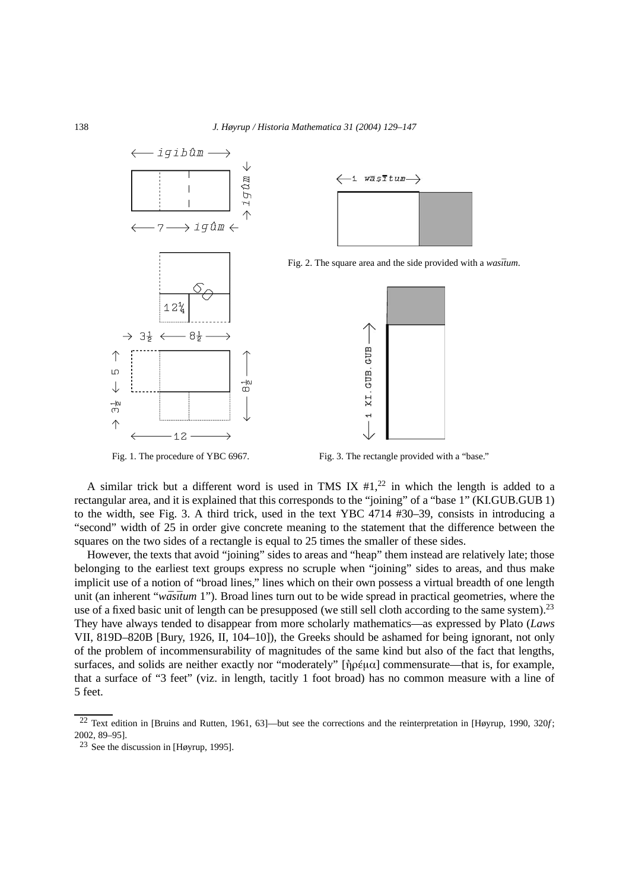

Fig. 1. The procedure of YBC 6967.

Fig. 3. The rectangle provided with a "base."

A similar trick but a different word is used in TMS IX  $#1<sub>1</sub><sup>22</sup>$  in which the length is added to a rectangular area, and it is explained that this corresponds to the "joining" of a "base 1" (KI.GUB.GUB 1) to the width, see Fig. 3. A third trick, used in the text YBC 4714 #30–39, consists in introducing a "second" width of 25 in order give concrete meaning to the statement that the difference between the squares on the two sides of a rectangle is equal to 25 times the smaller of these sides.

However, the texts that avoid "joining" sides to areas and "heap" them instead are relatively late; those belonging to the earliest text groups express no scruple when "joining" sides to areas, and thus make implicit use of a notion of "broad lines," lines which on their own possess a virtual breadth of one length unit (an inherent "*wāsītum* 1"). Broad lines turn out to be wide spread in practical geometries, where the use of a fixed basic unit of length can be presupposed (we still sell cloth according to the same system).<sup>23</sup> They have always tended to disappear from more scholarly mathematics—as expressed by Plato (*Laws* VII, 819D–820B [Bury, 1926, II, 104–10]), the Greeks should be ashamed for being ignorant, not only of the problem of incommensurability of magnitudes of the same kind but also of the fact that lengths, surfaces, and solids are neither exactly nor "moderately" [ἠρέμα] commensurate—that is, for example, that a surface of "3 feet" (viz. in length, tacitly 1 foot broad) has no common measure with a line of 5 feet.

<sup>&</sup>lt;sup>22</sup> Text edition in [Bruins and Rutten, 1961, 63]—but see the corrections and the reinterpretation in [Høyrup, 1990, 320*f*; 2002, 89–95].

<sup>23</sup> See the discussion in [Høyrup, 1995].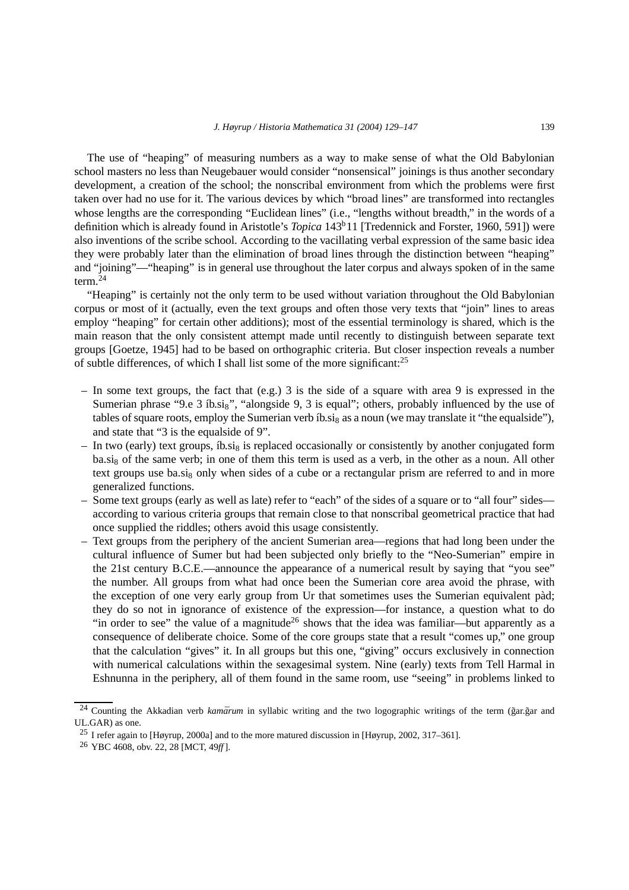The use of "heaping" of measuring numbers as a way to make sense of what the Old Babylonian school masters no less than Neugebauer would consider "nonsensical" joinings is thus another secondary development, a creation of the school; the nonscribal environment from which the problems were first taken over had no use for it. The various devices by which "broad lines" are transformed into rectangles whose lengths are the corresponding "Euclidean lines" (i.e., "lengths without breadth," in the words of a definition which is already found in Aristotle's *Topica* 143<sup>b</sup>11 [Tredennick and Forster, 1960, 591]) were also inventions of the scribe school. According to the vacillating verbal expression of the same basic idea they were probably later than the elimination of broad lines through the distinction between "heaping" and "joining"—"heaping" is in general use throughout the later corpus and always spoken of in the same term.<sup>24</sup>

"Heaping" is certainly not the only term to be used without variation throughout the Old Babylonian corpus or most of it (actually, even the text groups and often those very texts that "join" lines to areas employ "heaping" for certain other additions); most of the essential terminology is shared, which is the main reason that the only consistent attempt made until recently to distinguish between separate text groups [Goetze, 1945] had to be based on orthographic criteria. But closer inspection reveals a number of subtle differences, of which I shall list some of the more significant:25

- In some text groups, the fact that (e.g.) 3 is the side of a square with area 9 is expressed in the Sumerian phrase "9.e 3 íb.sig", "alongside 9, 3 is equal"; others, probably influenced by the use of tables of square roots, employ the Sumerian verb ib.si $_8$  as a noun (we may translate it "the equalside"), and state that "3 is the equalside of 9".
- $-$  In two (early) text groups, ib.si<sub>8</sub> is replaced occasionally or consistently by another conjugated form  $b$ a.si<sub>8</sub> of the same verb; in one of them this term is used as a verb, in the other as a noun. All other text groups use ba.sig only when sides of a cube or a rectangular prism are referred to and in more generalized functions.
- Some text groups (early as well as late) refer to "each" of the sides of a square or to "all four" sides according to various criteria groups that remain close to that nonscribal geometrical practice that had once supplied the riddles; others avoid this usage consistently.
- Text groups from the periphery of the ancient Sumerian area—regions that had long been under the cultural influence of Sumer but had been subjected only briefly to the "Neo-Sumerian" empire in the 21st century B.C.E.—announce the appearance of a numerical result by saying that "you see" the number. All groups from what had once been the Sumerian core area avoid the phrase, with the exception of one very early group from Ur that sometimes uses the Sumerian equivalent pàd; they do so not in ignorance of existence of the expression—for instance, a question what to do "in order to see" the value of a magnitude<sup>26</sup> shows that the idea was familiar—but apparently as a consequence of deliberate choice. Some of the core groups state that a result "comes up," one group that the calculation "gives" it. In all groups but this one, "giving" occurs exclusively in connection with numerical calculations within the sexagesimal system. Nine (early) texts from Tell Harmal in Eshnunna in the periphery, all of them found in the same room, use "seeing" in problems linked to

<sup>&</sup>lt;sup>24</sup> Counting the Akkadian verb *kamārum* in syllabic writing and the two logographic writings of the term (ğar. ğar and UL.GAR) as one.

<sup>&</sup>lt;sup>25</sup> I refer again to [Høyrup, 2000a] and to the more matured discussion in [Høyrup, 2002, 317–361].

<sup>26</sup> YBC 4608, obv. 22, 28 [MCT, 49*ff*].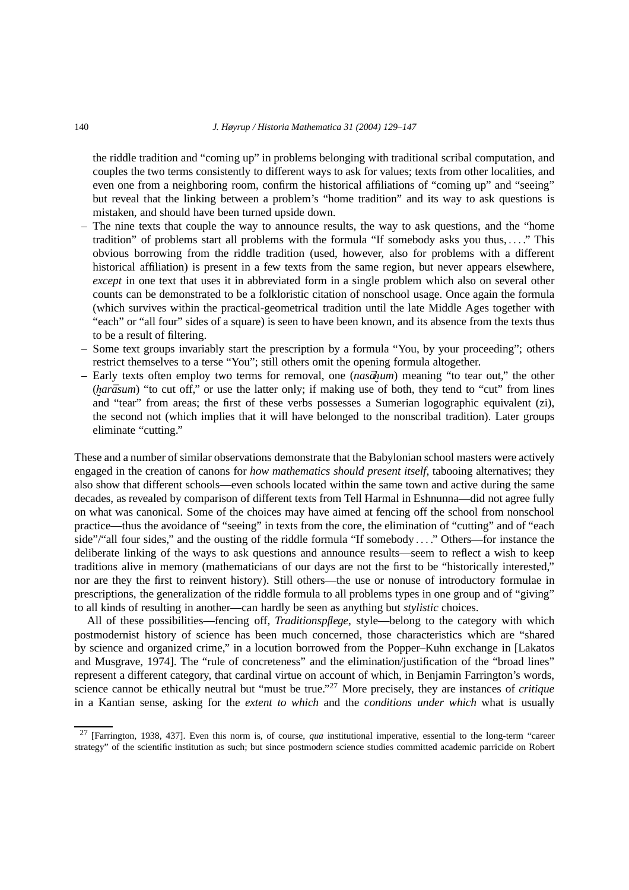the riddle tradition and "coming up" in problems belonging with traditional scribal computation, and couples the two terms consistently to different ways to ask for values; texts from other localities, and even one from a neighboring room, confirm the historical affiliations of "coming up" and "seeing" but reveal that the linking between a problem's "home tradition" and its way to ask questions is mistaken, and should have been turned upside down.

- The nine texts that couple the way to announce results, the way to ask questions, and the "home tradition" of problems start all problems with the formula "If somebody asks you thus, *...* ." This obvious borrowing from the riddle tradition (used, however, also for problems with a different historical affiliation) is present in a few texts from the same region, but never appears elsewhere, *except* in one text that uses it in abbreviated form in a single problem which also on several other counts can be demonstrated to be a folkloristic citation of nonschool usage. Once again the formula (which survives within the practical-geometrical tradition until the late Middle Ages together with "each" or "all four" sides of a square) is seen to have been known, and its absence from the texts thus to be a result of filtering.
- Some text groups invariably start the prescription by a formula "You, by your proceeding"; others restrict themselves to a terse "You"; still others omit the opening formula altogether.
- Early texts often employ two terms for removal, one (*nasāhum*) meaning "to tear out," the other (*harāsum*) "to cut off," or use the latter only; if making use of both, they tend to "cut" from lines and "tear" from areas; the first of these verbs possesses a Sumerian logographic equivalent (zi), the second not (which implies that it will have belonged to the nonscribal tradition). Later groups eliminate "cutting."

These and a number of similar observations demonstrate that the Babylonian school masters were actively engaged in the creation of canons for *how mathematics should present itself*, tabooing alternatives; they also show that different schools—even schools located within the same town and active during the same decades, as revealed by comparison of different texts from Tell Harmal in Eshnunna—did not agree fully on what was canonical. Some of the choices may have aimed at fencing off the school from nonschool practice—thus the avoidance of "seeing" in texts from the core, the elimination of "cutting" and of "each side"/"all four sides," and the ousting of the riddle formula "If somebody *...* ." Others—for instance the deliberate linking of the ways to ask questions and announce results—seem to reflect a wish to keep traditions alive in memory (mathematicians of our days are not the first to be "historically interested," nor are they the first to reinvent history). Still others—the use or nonuse of introductory formulae in prescriptions, the generalization of the riddle formula to all problems types in one group and of "giving" to all kinds of resulting in another—can hardly be seen as anything but *stylistic* choices.

All of these possibilities—fencing off, *Traditionspflege*, style—belong to the category with which postmodernist history of science has been much concerned, those characteristics which are "shared by science and organized crime," in a locution borrowed from the Popper–Kuhn exchange in [Lakatos and Musgrave, 1974]. The "rule of concreteness" and the elimination/justification of the "broad lines" represent a different category, that cardinal virtue on account of which, in Benjamin Farrington's words, science cannot be ethically neutral but "must be true."<sup>27</sup> More precisely, they are instances of *critique* in a Kantian sense, asking for the *extent to which* and the *conditions under which* what is usually

<sup>27</sup> [Farrington, 1938, 437]. Even this norm is, of course, *qua* institutional imperative, essential to the long-term "career strategy" of the scientific institution as such; but since postmodern science studies committed academic parricide on Robert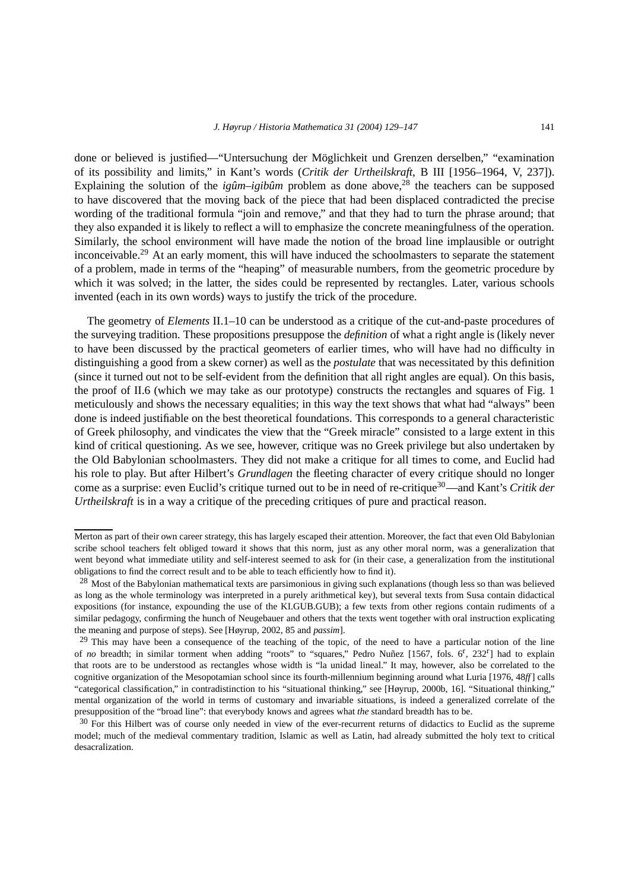done or believed is justified—"Untersuchung der Möglichkeit und Grenzen derselben," "examination of its possibility and limits," in Kant's words (*Critik der Urtheilskraft*, B III [1956–1964, V, 237]). Explaining the solution of the *igûm–igibûm* problem as done above,<sup>28</sup> the teachers can be supposed to have discovered that the moving back of the piece that had been displaced contradicted the precise wording of the traditional formula "join and remove," and that they had to turn the phrase around; that they also expanded it is likely to reflect a will to emphasize the concrete meaningfulness of the operation. Similarly, the school environment will have made the notion of the broad line implausible or outright inconceivable.<sup>29</sup> At an early moment, this will have induced the schoolmasters to separate the statement of a problem, made in terms of the "heaping" of measurable numbers, from the geometric procedure by which it was solved; in the latter, the sides could be represented by rectangles. Later, various schools invented (each in its own words) ways to justify the trick of the procedure.

The geometry of *Elements* II.1–10 can be understood as a critique of the cut-and-paste procedures of the surveying tradition. These propositions presuppose the *definition* of what a right angle is (likely never to have been discussed by the practical geometers of earlier times, who will have had no difficulty in distinguishing a good from a skew corner) as well as the *postulate* that was necessitated by this definition (since it turned out not to be self-evident from the definition that all right angles are equal). On this basis, the proof of II.6 (which we may take as our prototype) constructs the rectangles and squares of Fig. 1 meticulously and shows the necessary equalities; in this way the text shows that what had "always" been done is indeed justifiable on the best theoretical foundations. This corresponds to a general characteristic of Greek philosophy, and vindicates the view that the "Greek miracle" consisted to a large extent in this kind of critical questioning. As we see, however, critique was no Greek privilege but also undertaken by the Old Babylonian schoolmasters. They did not make a critique for all times to come, and Euclid had his role to play. But after Hilbert's *Grundlagen* the fleeting character of every critique should no longer come as a surprise: even Euclid's critique turned out to be in need of re-critique30—and Kant's *Critik der Urtheilskraft* is in a way a critique of the preceding critiques of pure and practical reason.

Merton as part of their own career strategy, this has largely escaped their attention. Moreover, the fact that even Old Babylonian scribe school teachers felt obliged toward it shows that this norm, just as any other moral norm, was a generalization that went beyond what immediate utility and self-interest seemed to ask for (in their case, a generalization from the institutional obligations to find the correct result and to be able to teach efficiently how to find it).

<sup>&</sup>lt;sup>28</sup> Most of the Babylonian mathematical texts are parsimonious in giving such explanations (though less so than was believed as long as the whole terminology was interpreted in a purely arithmetical key), but several texts from Susa contain didactical expositions (for instance, expounding the use of the KI.GUB.GUB); a few texts from other regions contain rudiments of a similar pedagogy, confirming the hunch of Neugebauer and others that the texts went together with oral instruction explicating the meaning and purpose of steps). See [Høyrup, 2002, 85 and *passim*].

 $29$  This may have been a consequence of the teaching of the topic, of the need to have a particular notion of the line of no breadth; in similar torment when adding "roots" to "squares," Pedro Nuñez [1567, fols. 6<sup>r</sup>, 232<sup>r</sup>] had to explain that roots are to be understood as rectangles whose width is "la unidad lineal." It may, however, also be correlated to the cognitive organization of the Mesopotamian school since its fourth-millennium beginning around what Luria [1976, 48*ff*] calls "categorical classification," in contradistinction to his "situational thinking," see [Høyrup, 2000b, 16]. "Situational thinking," mental organization of the world in terms of customary and invariable situations, is indeed a generalized correlate of the presupposition of the "broad line": that everybody knows and agrees what *the* standard breadth has to be.

 $30$  For this Hilbert was of course only needed in view of the ever-recurrent returns of didactics to Euclid as the supreme model; much of the medieval commentary tradition, Islamic as well as Latin, had already submitted the holy text to critical desacralization.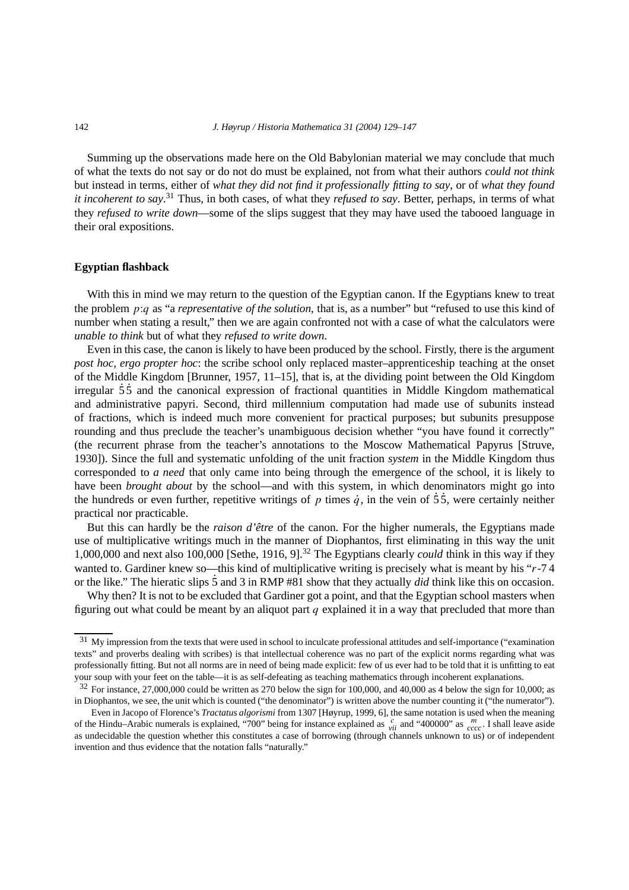#### 142 *J. Høyrup / Historia Mathematica 31 (2004) 129–147*

Summing up the observations made here on the Old Babylonian material we may conclude that much of what the texts do not say or do not do must be explained, not from what their authors *could not think* but instead in terms, either of *what they did not find it professionally fitting to say*, or of *what they found it incoherent to say*. <sup>31</sup> Thus, in both cases, of what they *refused to say*. Better, perhaps, in terms of what they *refused to write down*—some of the slips suggest that they may have used the tabooed language in their oral expositions.

#### **Egyptian flashback**

With this in mind we may return to the question of the Egyptian canon. If the Egyptians knew to treat the problem *p*:*q* as "a *representative of the solution*, that is, as a number" but "refused to use this kind of number when stating a result," then we are again confronted not with a case of what the calculators were *unable to think* but of what they *refused to write down*.

Even in this case, the canon is likely to have been produced by the school. Firstly, there is the argument *post hoc, ergo propter hoc*: the scribe school only replaced master–apprenticeship teaching at the onset of the Middle Kingdom [Brunner, 1957, 11–15], that is, at the dividing point between the Old Kingdom irregular  $55$  and the canonical expression of fractional quantities in Middle Kingdom mathematical and administrative papyri. Second, third millennium computation had made use of subunits instead of fractions, which is indeed much more convenient for practical purposes; but subunits presuppose rounding and thus preclude the teacher's unambiguous decision whether "you have found it correctly" (the recurrent phrase from the teacher's annotations to the Moscow Mathematical Papyrus [Struve, 1930]). Since the full and systematic unfolding of the unit fraction *system* in the Middle Kingdom thus corresponded to *a need* that only came into being through the emergence of the school, it is likely to have been *brought about* by the school—and with this system, in which denominators might go into the hundreds or even further, repetitive writings of *p* times  $\dot{q}$ , in the vein of 55, were certainly neither practical nor practicable.

But this can hardly be the *raison d'être* of the canon. For the higher numerals, the Egyptians made use of multiplicative writings much in the manner of Diophantos, first eliminating in this way the unit 1,000,000 and next also 100,000 [Sethe, 1916, 9].<sup>32</sup> The Egyptians clearly *could* think in this way if they wanted to. Gardiner knew so—this kind of multiplicative writing is precisely what is meant by his "*r*-7 4 or the like." The hieratic slips 5 and 3 in RMP #81 show that they actually *did* think like this on occasion.

Why then? It is not to be excluded that Gardiner got a point, and that the Egyptian school masters when figuring out what could be meant by an aliquot part *q* explained it in a way that precluded that more than

<sup>&</sup>lt;sup>31</sup> My impression from the texts that were used in school to inculcate professional attitudes and self-importance ("examination") texts" and proverbs dealing with scribes) is that intellectual coherence was no part of the explicit norms regarding what was professionally fitting. But not all norms are in need of being made explicit: few of us ever had to be told that it is unfitting to eat your soup with your feet on the table—it is as self-defeating as teaching mathematics through incoherent explanations.

 $32$  For instance, 27,000,000 could be written as 270 below the sign for 100,000, and 40,000 as 4 below the sign for 10,000; as in Diophantos, we see, the unit which is counted ("the denominator") is written above the number counting it ("the numerator").

Even in Jacopo of Florence's *Tractatus algorismi* from 1307 [Høyrup, 1999, 6], the same notation is used when the meaning of the Hindu–Arabic numerals is explained, "700" being for instance explained as  $\frac{c}{vii}$  and "400000" as  $\frac{m}{cccc}$ . I shall leave aside as undecidable the question whether this constitutes a case of borrowing (through channels unknown to us) or of independent invention and thus evidence that the notation falls "naturally."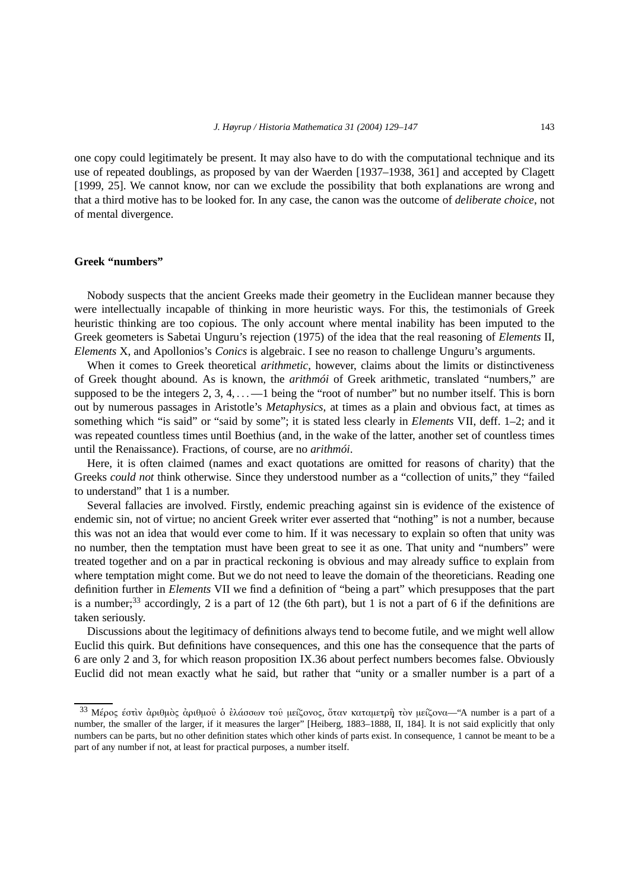one copy could legitimately be present. It may also have to do with the computational technique and its use of repeated doublings, as proposed by van der Waerden [1937–1938, 361] and accepted by Clagett [1999, 25]. We cannot know, nor can we exclude the possibility that both explanations are wrong and that a third motive has to be looked for. In any case, the canon was the outcome of *deliberate choice*, not of mental divergence.

#### **Greek "numbers"**

Nobody suspects that the ancient Greeks made their geometry in the Euclidean manner because they were intellectually incapable of thinking in more heuristic ways. For this, the testimonials of Greek heuristic thinking are too copious. The only account where mental inability has been imputed to the Greek geometers is Sabetai Unguru's rejection (1975) of the idea that the real reasoning of *Elements* II, *Elements* X, and Apollonios's *Conics* is algebraic. I see no reason to challenge Unguru's arguments.

When it comes to Greek theoretical *arithmetic*, however, claims about the limits or distinctiveness of Greek thought abound. As is known, the *arithmói* of Greek arithmetic, translated "numbers," are supposed to be the integers  $2, 3, 4, \ldots$ —1 being the "root of number" but no number itself. This is born out by numerous passages in Aristotle's *Metaphysics*, at times as a plain and obvious fact, at times as something which "is said" or "said by some"; it is stated less clearly in *Elements* VII, deff. 1–2; and it was repeated countless times until Boethius (and, in the wake of the latter, another set of countless times until the Renaissance). Fractions, of course, are no *arithmói*.

Here, it is often claimed (names and exact quotations are omitted for reasons of charity) that the Greeks *could not* think otherwise. Since they understood number as a "collection of units," they "failed to understand" that 1 is a number.

Several fallacies are involved. Firstly, endemic preaching against sin is evidence of the existence of endemic sin, not of virtue; no ancient Greek writer ever asserted that "nothing" is not a number, because this was not an idea that would ever come to him. If it was necessary to explain so often that unity was no number, then the temptation must have been great to see it as one. That unity and "numbers" were treated together and on a par in practical reckoning is obvious and may already suffice to explain from where temptation might come. But we do not need to leave the domain of the theoreticians. Reading one definition further in *Elements* VII we find a definition of "being a part" which presupposes that the part is a number; $33$  accordingly, 2 is a part of 12 (the 6th part), but 1 is not a part of 6 if the definitions are taken seriously.

Discussions about the legitimacy of definitions always tend to become futile, and we might well allow Euclid this quirk. But definitions have consequences, and this one has the consequence that the parts of 6 are only 2 and 3, for which reason proposition IX.36 about perfect numbers becomes false. Obviously Euclid did not mean exactly what he said, but rather that "unity or a smaller number is a part of a

<sup>33</sup> Μέρος έστὶν ἀριθμὸς ἀριθμοῦ ὁ ἐλάσσων τοῦ μείζονος, ὅταν καταμετρῆ τὸν μείζονα—"A number is a part of a number, the smaller of the larger, if it measures the larger" [Heiberg, 1883–1888, II, 184]. It is not said explicitly that only numbers can be parts, but no other definition states which other kinds of parts exist. In consequence, 1 cannot be meant to be a part of any number if not, at least for practical purposes, a number itself.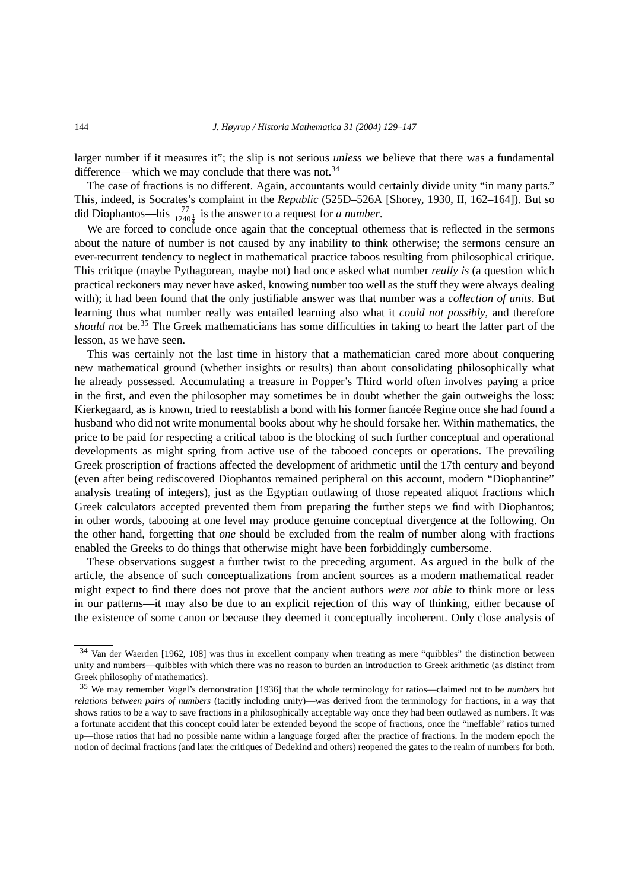larger number if it measures it"; the slip is not serious *unless* we believe that there was a fundamental difference—which we may conclude that there was not.<sup>34</sup>

The case of fractions is no different. Again, accountants would certainly divide unity "in many parts." This, indeed, is Socrates's complaint in the *Republic* (525D–526A [Shorey, 1930, II, 162–164]). But so did Diophantos—his  $\frac{77}{1240\frac{1}{4}}$  is the answer to a request for *a number*.

We are forced to conclude once again that the conceptual otherness that is reflected in the sermons about the nature of number is not caused by any inability to think otherwise; the sermons censure an ever-recurrent tendency to neglect in mathematical practice taboos resulting from philosophical critique. This critique (maybe Pythagorean, maybe not) had once asked what number *really is* (a question which practical reckoners may never have asked, knowing number too well as the stuff they were always dealing with); it had been found that the only justifiable answer was that number was a *collection of units*. But learning thus what number really was entailed learning also what it *could not possibly*, and therefore *should not* be.<sup>35</sup> The Greek mathematicians has some difficulties in taking to heart the latter part of the lesson, as we have seen.

This was certainly not the last time in history that a mathematician cared more about conquering new mathematical ground (whether insights or results) than about consolidating philosophically what he already possessed. Accumulating a treasure in Popper's Third world often involves paying a price in the first, and even the philosopher may sometimes be in doubt whether the gain outweighs the loss: Kierkegaard, as is known, tried to reestablish a bond with his former fiancée Regine once she had found a husband who did not write monumental books about why he should forsake her. Within mathematics, the price to be paid for respecting a critical taboo is the blocking of such further conceptual and operational developments as might spring from active use of the tabooed concepts or operations. The prevailing Greek proscription of fractions affected the development of arithmetic until the 17th century and beyond (even after being rediscovered Diophantos remained peripheral on this account, modern "Diophantine" analysis treating of integers), just as the Egyptian outlawing of those repeated aliquot fractions which Greek calculators accepted prevented them from preparing the further steps we find with Diophantos; in other words, tabooing at one level may produce genuine conceptual divergence at the following. On the other hand, forgetting that *one* should be excluded from the realm of number along with fractions enabled the Greeks to do things that otherwise might have been forbiddingly cumbersome.

These observations suggest a further twist to the preceding argument. As argued in the bulk of the article, the absence of such conceptualizations from ancient sources as a modern mathematical reader might expect to find there does not prove that the ancient authors *were not able* to think more or less in our patterns—it may also be due to an explicit rejection of this way of thinking, either because of the existence of some canon or because they deemed it conceptually incoherent. Only close analysis of

<sup>34</sup> Van der Waerden [1962, 108] was thus in excellent company when treating as mere "quibbles" the distinction between unity and numbers—quibbles with which there was no reason to burden an introduction to Greek arithmetic (as distinct from Greek philosophy of mathematics).

<sup>35</sup> We may remember Vogel's demonstration [1936] that the whole terminology for ratios—claimed not to be *numbers* but *relations between pairs of numbers* (tacitly including unity)—was derived from the terminology for fractions, in a way that shows ratios to be a way to save fractions in a philosophically acceptable way once they had been outlawed as numbers. It was a fortunate accident that this concept could later be extended beyond the scope of fractions, once the "ineffable" ratios turned up—those ratios that had no possible name within a language forged after the practice of fractions. In the modern epoch the notion of decimal fractions (and later the critiques of Dedekind and others) reopened the gates to the realm of numbers for both.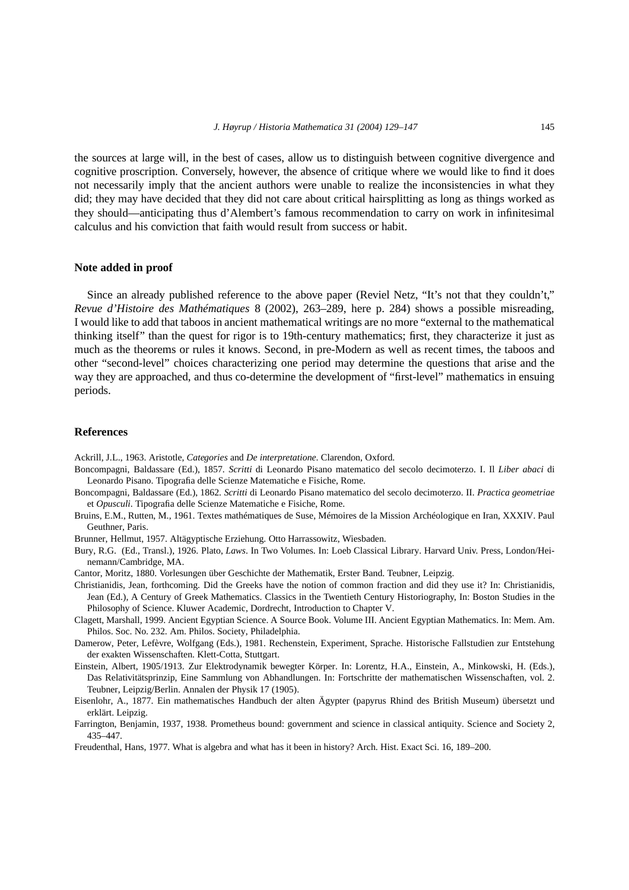the sources at large will, in the best of cases, allow us to distinguish between cognitive divergence and cognitive proscription. Conversely, however, the absence of critique where we would like to find it does not necessarily imply that the ancient authors were unable to realize the inconsistencies in what they did; they may have decided that they did not care about critical hairsplitting as long as things worked as they should—anticipating thus d'Alembert's famous recommendation to carry on work in infinitesimal calculus and his conviction that faith would result from success or habit.

#### **Note added in proof**

Since an already published reference to the above paper (Reviel Netz, "It's not that they couldn't," *Revue d'Histoire des Mathématiques* 8 (2002), 263–289, here p. 284) shows a possible misreading, I would like to add that taboos in ancient mathematical writings are no more "external to the mathematical thinking itself" than the quest for rigor is to 19th-century mathematics; first, they characterize it just as much as the theorems or rules it knows. Second, in pre-Modern as well as recent times, the taboos and other "second-level" choices characterizing one period may determine the questions that arise and the way they are approached, and thus co-determine the development of "first-level" mathematics in ensuing periods.

#### **References**

Ackrill, J.L., 1963. Aristotle, *Categories* and *De interpretatione*. Clarendon, Oxford.

- Boncompagni, Baldassare (Ed.), 1857. *Scritti* di Leonardo Pisano matematico del secolo decimoterzo. I. Il *Liber abaci* di Leonardo Pisano. Tipografia delle Scienze Matematiche e Fisiche, Rome.
- Boncompagni, Baldassare (Ed.), 1862. *Scritti* di Leonardo Pisano matematico del secolo decimoterzo. II. *Practica geometriae* et *Opusculi*. Tipografia delle Scienze Matematiche e Fisiche, Rome.
- Bruins, E.M., Rutten, M., 1961. Textes mathématiques de Suse, Mémoires de la Mission Archéologique en Iran, XXXIV. Paul Geuthner, Paris.

Brunner, Hellmut, 1957. Altägyptische Erziehung. Otto Harrassowitz, Wiesbaden.

- Bury, R.G. (Ed., Transl.), 1926. Plato, *Laws*. In Two Volumes. In: Loeb Classical Library. Harvard Univ. Press, London/Heinemann/Cambridge, MA.
- Cantor, Moritz, 1880. Vorlesungen über Geschichte der Mathematik, Erster Band. Teubner, Leipzig.
- Christianidis, Jean, forthcoming. Did the Greeks have the notion of common fraction and did they use it? In: Christianidis, Jean (Ed.), A Century of Greek Mathematics. Classics in the Twentieth Century Historiography, In: Boston Studies in the Philosophy of Science. Kluwer Academic, Dordrecht, Introduction to Chapter V.
- Clagett, Marshall, 1999. Ancient Egyptian Science. A Source Book. Volume III. Ancient Egyptian Mathematics. In: Mem. Am. Philos. Soc. No. 232. Am. Philos. Society, Philadelphia.
- Damerow, Peter, Lefèvre, Wolfgang (Eds.), 1981. Rechenstein, Experiment, Sprache. Historische Fallstudien zur Entstehung der exakten Wissenschaften. Klett-Cotta, Stuttgart.
- Einstein, Albert, 1905/1913. Zur Elektrodynamik bewegter Körper. In: Lorentz, H.A., Einstein, A., Minkowski, H. (Eds.), Das Relativitätsprinzip, Eine Sammlung von Abhandlungen. In: Fortschritte der mathematischen Wissenschaften, vol. 2. Teubner, Leipzig/Berlin. Annalen der Physik 17 (1905).
- Eisenlohr, A., 1877. Ein mathematisches Handbuch der alten Ägypter (papyrus Rhind des British Museum) übersetzt und erklärt. Leipzig.
- Farrington, Benjamin, 1937, 1938. Prometheus bound: government and science in classical antiquity. Science and Society 2, 435–447.

Freudenthal, Hans, 1977. What is algebra and what has it been in history? Arch. Hist. Exact Sci. 16, 189–200.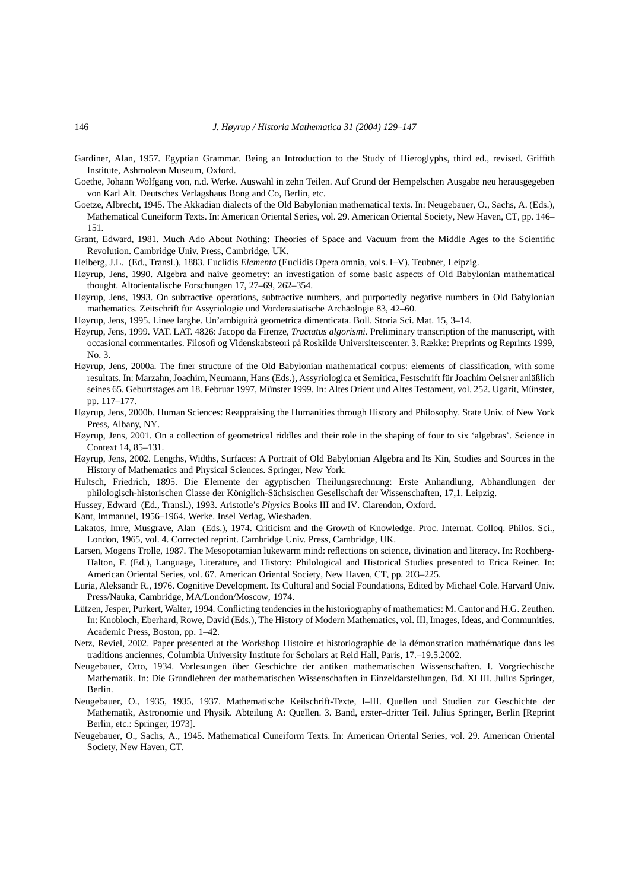- Gardiner, Alan, 1957. Egyptian Grammar. Being an Introduction to the Study of Hieroglyphs, third ed., revised. Griffith Institute, Ashmolean Museum, Oxford.
- Goethe, Johann Wolfgang von, n.d. Werke. Auswahl in zehn Teilen. Auf Grund der Hempelschen Ausgabe neu herausgegeben von Karl Alt. Deutsches Verlagshaus Bong and Co, Berlin, etc.
- Goetze, Albrecht, 1945. The Akkadian dialects of the Old Babylonian mathematical texts. In: Neugebauer, O., Sachs, A. (Eds.), Mathematical Cuneiform Texts. In: American Oriental Series, vol. 29. American Oriental Society, New Haven, CT, pp. 146– 151.
- Grant, Edward, 1981. Much Ado About Nothing: Theories of Space and Vacuum from the Middle Ages to the Scientific Revolution. Cambridge Univ. Press, Cambridge, UK.
- Heiberg, J.L. (Ed., Transl.), 1883. Euclidis *Elementa* (Euclidis Opera omnia, vols. I–V). Teubner, Leipzig.
- Høyrup, Jens, 1990. Algebra and naive geometry: an investigation of some basic aspects of Old Babylonian mathematical thought. Altorientalische Forschungen 17, 27–69, 262–354.
- Høyrup, Jens, 1993. On subtractive operations, subtractive numbers, and purportedly negative numbers in Old Babylonian mathematics. Zeitschrift für Assyriologie und Vorderasiatische Archäologie 83, 42–60.
- Høyrup, Jens, 1995. Linee larghe. Un'ambiguità geometrica dimenticata. Boll. Storia Sci. Mat. 15, 3–14.
- Høyrup, Jens, 1999. VAT. LAT. 4826: Jacopo da Firenze, *Tractatus algorismi*. Preliminary transcription of the manuscript, with occasional commentaries. Filosofi og Videnskabsteori på Roskilde Universitetscenter. 3. Række: Preprints og Reprints 1999, No. 3.
- Høyrup, Jens, 2000a. The finer structure of the Old Babylonian mathematical corpus: elements of classification, with some resultats. In: Marzahn, Joachim, Neumann, Hans (Eds.), Assyriologica et Semitica, Festschrift für Joachim Oelsner anläßlich seines 65. Geburtstages am 18. Februar 1997, Münster 1999. In: Altes Orient und Altes Testament, vol. 252. Ugarit, Münster, pp. 117–177.
- Høyrup, Jens, 2000b. Human Sciences: Reappraising the Humanities through History and Philosophy. State Univ. of New York Press, Albany, NY.
- Høyrup, Jens, 2001. On a collection of geometrical riddles and their role in the shaping of four to six 'algebras'. Science in Context 14, 85–131.
- Høyrup, Jens, 2002. Lengths, Widths, Surfaces: A Portrait of Old Babylonian Algebra and Its Kin, Studies and Sources in the History of Mathematics and Physical Sciences. Springer, New York.
- Hultsch, Friedrich, 1895. Die Elemente der ägyptischen Theilungsrechnung: Erste Anhandlung, Abhandlungen der philologisch-historischen Classe der Königlich-Sächsischen Gesellschaft der Wissenschaften, 17,1. Leipzig.
- Hussey, Edward (Ed., Transl.), 1993. Aristotle's *Physics* Books III and IV. Clarendon, Oxford.
- Kant, Immanuel, 1956–1964. Werke. Insel Verlag, Wiesbaden.
- Lakatos, Imre, Musgrave, Alan (Eds.), 1974. Criticism and the Growth of Knowledge. Proc. Internat. Colloq. Philos. Sci., London, 1965, vol. 4. Corrected reprint. Cambridge Univ. Press, Cambridge, UK.
- Larsen, Mogens Trolle, 1987. The Mesopotamian lukewarm mind: reflections on science, divination and literacy. In: Rochberg-Halton, F. (Ed.), Language, Literature, and History: Philological and Historical Studies presented to Erica Reiner. In: American Oriental Series, vol. 67. American Oriental Society, New Haven, CT, pp. 203–225.
- Luria, Aleksandr R., 1976. Cognitive Development. Its Cultural and Social Foundations, Edited by Michael Cole. Harvard Univ. Press/Nauka, Cambridge, MA/London/Moscow, 1974.
- Lützen, Jesper, Purkert, Walter, 1994. Conflicting tendencies in the historiography of mathematics: M. Cantor and H.G. Zeuthen. In: Knobloch, Eberhard, Rowe, David (Eds.), The History of Modern Mathematics, vol. III, Images, Ideas, and Communities. Academic Press, Boston, pp. 1–42.
- Netz, Reviel, 2002. Paper presented at the Workshop Histoire et historiographie de la démonstration mathématique dans les traditions anciennes, Columbia University Institute for Scholars at Reid Hall, Paris, 17.–19.5.2002.
- Neugebauer, Otto, 1934. Vorlesungen über Geschichte der antiken mathematischen Wissenschaften. I. Vorgriechische Mathematik. In: Die Grundlehren der mathematischen Wissenschaften in Einzeldarstellungen, Bd. XLIII. Julius Springer, Berlin.
- Neugebauer, O., 1935, 1935, 1937. Mathematische Keilschrift-Texte, I–III. Quellen und Studien zur Geschichte der Mathematik, Astronomie und Physik. Abteilung A: Quellen. 3. Band, erster–dritter Teil. Julius Springer, Berlin [Reprint Berlin, etc.: Springer, 1973].
- Neugebauer, O., Sachs, A., 1945. Mathematical Cuneiform Texts. In: American Oriental Series, vol. 29. American Oriental Society, New Haven, CT.